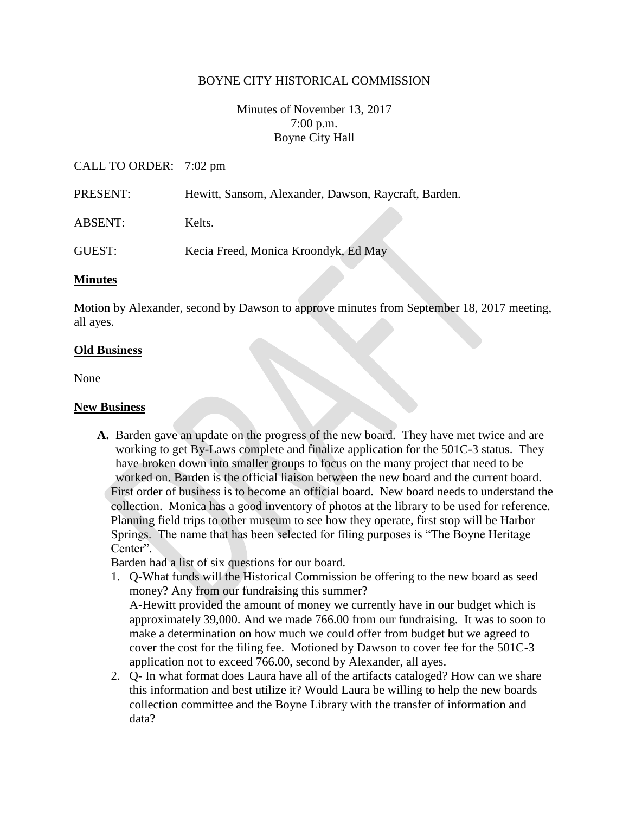### BOYNE CITY HISTORICAL COMMISSION

Minutes of November 13, 2017 7:00 p.m. Boyne City Hall

### CALL TO ORDER: 7:02 pm

- PRESENT: Hewitt, Sansom, Alexander, Dawson, Raycraft, Barden.
- ABSENT: Kelts.

GUEST: Kecia Freed, Monica Kroondyk, Ed May

#### **Minutes**

Motion by Alexander, second by Dawson to approve minutes from September 18, 2017 meeting, all ayes.

#### **Old Business**

None

#### **New Business**

**A.** Barden gave an update on the progress of the new board. They have met twice and are working to get By-Laws complete and finalize application for the 501C-3 status. They have broken down into smaller groups to focus on the many project that need to be worked on. Barden is the official liaison between the new board and the current board. First order of business is to become an official board. New board needs to understand the collection. Monica has a good inventory of photos at the library to be used for reference. Planning field trips to other museum to see how they operate, first stop will be Harbor Springs. The name that has been selected for filing purposes is "The Boyne Heritage Center".

Barden had a list of six questions for our board.

- 1. Q-What funds will the Historical Commission be offering to the new board as seed money? Any from our fundraising this summer? A-Hewitt provided the amount of money we currently have in our budget which is approximately 39,000. And we made 766.00 from our fundraising. It was to soon to make a determination on how much we could offer from budget but we agreed to cover the cost for the filing fee. Motioned by Dawson to cover fee for the 501C-3 application not to exceed 766.00, second by Alexander, all ayes.
- 2. Q- In what format does Laura have all of the artifacts cataloged? How can we share this information and best utilize it? Would Laura be willing to help the new boards collection committee and the Boyne Library with the transfer of information and data?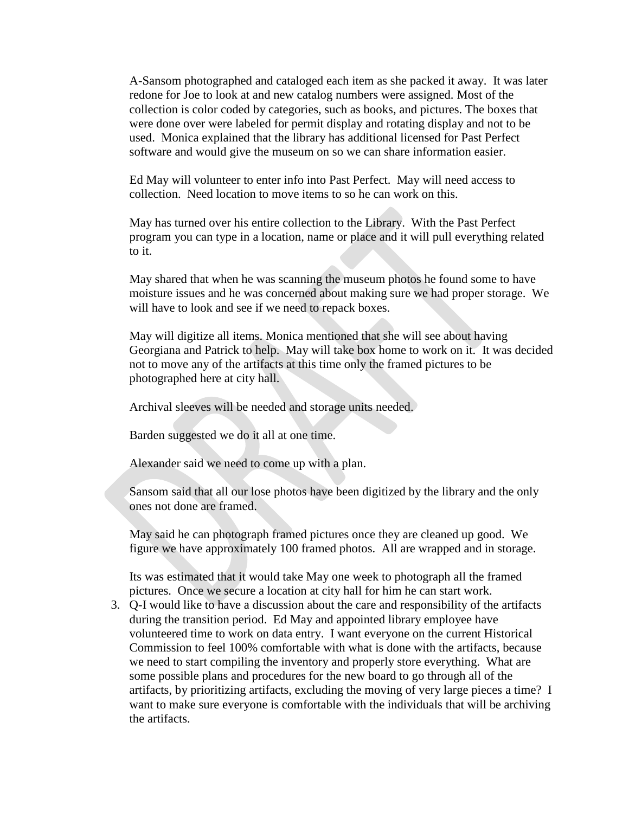A-Sansom photographed and cataloged each item as she packed it away. It was later redone for Joe to look at and new catalog numbers were assigned. Most of the collection is color coded by categories, such as books, and pictures. The boxes that were done over were labeled for permit display and rotating display and not to be used. Monica explained that the library has additional licensed for Past Perfect software and would give the museum on so we can share information easier.

Ed May will volunteer to enter info into Past Perfect. May will need access to collection. Need location to move items to so he can work on this.

May has turned over his entire collection to the Library. With the Past Perfect program you can type in a location, name or place and it will pull everything related to it.

May shared that when he was scanning the museum photos he found some to have moisture issues and he was concerned about making sure we had proper storage. We will have to look and see if we need to repack boxes.

May will digitize all items. Monica mentioned that she will see about having Georgiana and Patrick to help. May will take box home to work on it. It was decided not to move any of the artifacts at this time only the framed pictures to be photographed here at city hall.

Archival sleeves will be needed and storage units needed.

Barden suggested we do it all at one time.

Alexander said we need to come up with a plan.

Sansom said that all our lose photos have been digitized by the library and the only ones not done are framed.

May said he can photograph framed pictures once they are cleaned up good. We figure we have approximately 100 framed photos. All are wrapped and in storage.

Its was estimated that it would take May one week to photograph all the framed pictures. Once we secure a location at city hall for him he can start work.

3. Q-I would like to have a discussion about the care and responsibility of the artifacts during the transition period. Ed May and appointed library employee have volunteered time to work on data entry. I want everyone on the current Historical Commission to feel 100% comfortable with what is done with the artifacts, because we need to start compiling the inventory and properly store everything. What are some possible plans and procedures for the new board to go through all of the artifacts, by prioritizing artifacts, excluding the moving of very large pieces a time? I want to make sure everyone is comfortable with the individuals that will be archiving the artifacts.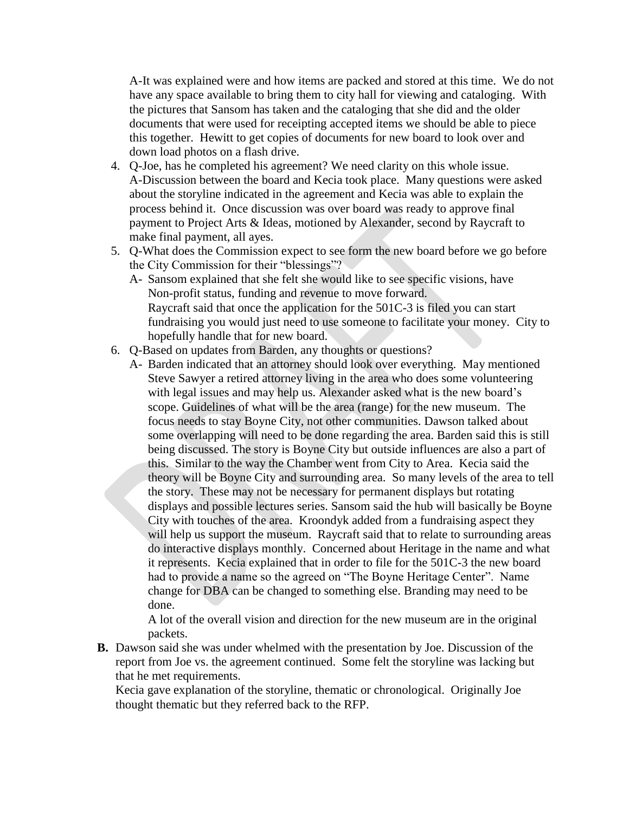A-It was explained were and how items are packed and stored at this time. We do not have any space available to bring them to city hall for viewing and cataloging. With the pictures that Sansom has taken and the cataloging that she did and the older documents that were used for receipting accepted items we should be able to piece this together. Hewitt to get copies of documents for new board to look over and down load photos on a flash drive.

- 4. Q-Joe, has he completed his agreement? We need clarity on this whole issue. A-Discussion between the board and Kecia took place. Many questions were asked about the storyline indicated in the agreement and Kecia was able to explain the process behind it. Once discussion was over board was ready to approve final payment to Project Arts & Ideas, motioned by Alexander, second by Raycraft to make final payment, all ayes.
- 5. Q-What does the Commission expect to see form the new board before we go before the City Commission for their "blessings"?
	- A- Sansom explained that she felt she would like to see specific visions, have Non-profit status, funding and revenue to move forward. Raycraft said that once the application for the 501C-3 is filed you can start fundraising you would just need to use someone to facilitate your money. City to hopefully handle that for new board.
- 6. Q-Based on updates from Barden, any thoughts or questions?
	- A- Barden indicated that an attorney should look over everything. May mentioned Steve Sawyer a retired attorney living in the area who does some volunteering with legal issues and may help us. Alexander asked what is the new board's scope. Guidelines of what will be the area (range) for the new museum. The focus needs to stay Boyne City, not other communities. Dawson talked about some overlapping will need to be done regarding the area. Barden said this is still being discussed. The story is Boyne City but outside influences are also a part of this. Similar to the way the Chamber went from City to Area. Kecia said the theory will be Boyne City and surrounding area. So many levels of the area to tell the story. These may not be necessary for permanent displays but rotating displays and possible lectures series. Sansom said the hub will basically be Boyne City with touches of the area. Kroondyk added from a fundraising aspect they will help us support the museum. Raycraft said that to relate to surrounding areas do interactive displays monthly. Concerned about Heritage in the name and what it represents. Kecia explained that in order to file for the 501C-3 the new board had to provide a name so the agreed on "The Boyne Heritage Center". Name change for DBA can be changed to something else. Branding may need to be done.

A lot of the overall vision and direction for the new museum are in the original packets.

**B.** Dawson said she was under whelmed with the presentation by Joe. Discussion of the report from Joe vs. the agreement continued. Some felt the storyline was lacking but that he met requirements.

Kecia gave explanation of the storyline, thematic or chronological. Originally Joe thought thematic but they referred back to the RFP.